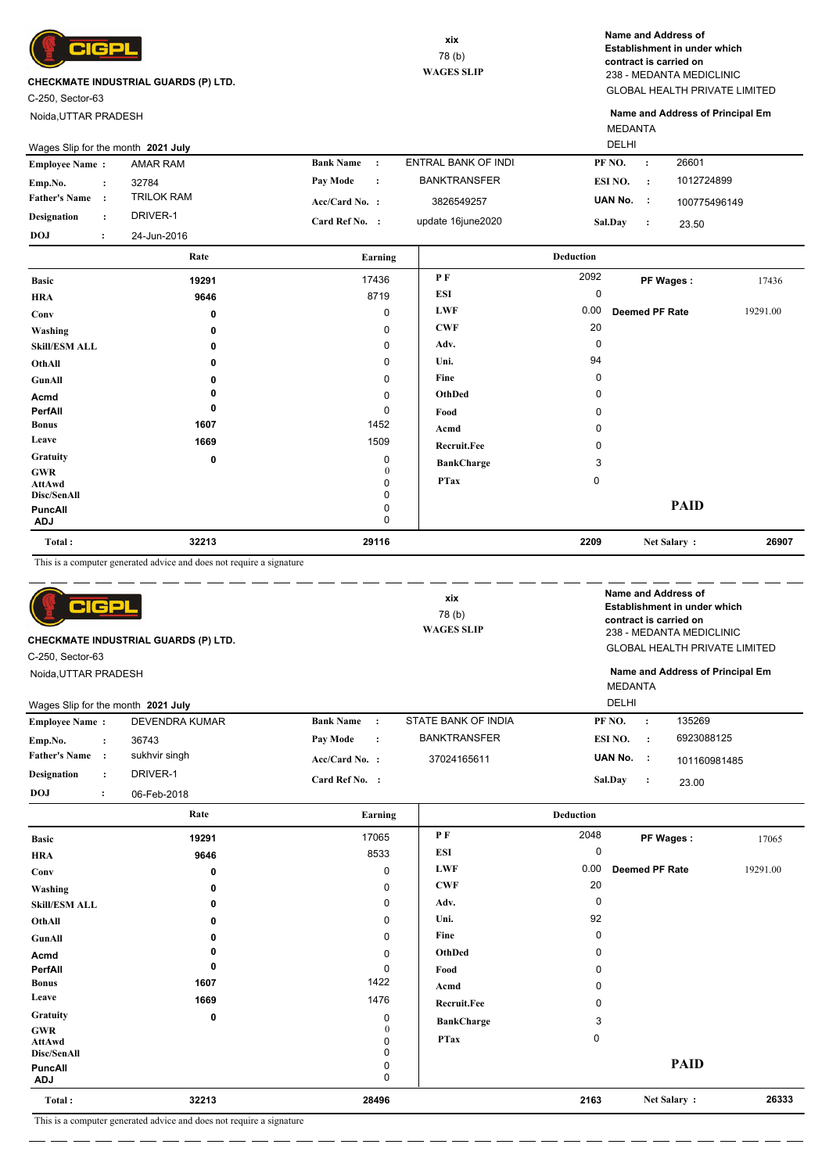

C-250, Sector-63

Noida,UTTAR PRADESH

GLOBAL HEALTH PRIVATE LIMITED 238 - MEDANTA MEDICLINIC **Name and Address of Establishment in under which contract is carried on**

MEDANTA **Name and Address of Principal Em**

| Wages Slip for the month 2021 July |             |                       | <b>DELHI</b> |                     |         |                |              |
|------------------------------------|-------------|-----------------------|--------------|---------------------|---------|----------------|--------------|
| <b>Employee Name:</b>              | AMAR RAM    | <b>Bank Name</b>      | $\sim$ 1.    | ENTRAL BANK OF INDI | PF NO.  | $\ddot{\cdot}$ | 26601        |
| Emp.No.                            | 32784       | Pay Mode              |              | <b>BANKTRANSFER</b> | ESI NO. |                | 1012724899   |
| <b>Father's Name</b>               | TRILOK RAM  | $Acc/Card No.$ :      |              | 3826549257          | UAN No. |                | 100775496149 |
| <b>Designation</b>                 | DRIVER-1    | <b>Card Ref No. :</b> |              | update 16june2020   | Sal.Day |                | 23.50        |
| <b>DOJ</b>                         | 24-Jun-2016 |                       |              |                     |         |                |              |

|                             | Rate        | Earning           |                   | <b>Deduction</b> |                |          |
|-----------------------------|-------------|-------------------|-------------------|------------------|----------------|----------|
| <b>Basic</b>                | 19291       | 17436             | PF                | 2092             | PF Wages:      | 17436    |
| <b>HRA</b>                  | 9646        | 8719              | <b>ESI</b>        | 0                |                |          |
| Conv                        | 0           | $\mathbf 0$       | <b>LWF</b>        | 0.00             | Deemed PF Rate | 19291.00 |
| Washing                     | 0           | 0                 | <b>CWF</b>        | 20               |                |          |
| <b>Skill/ESM ALL</b>        | 0           | 0                 | Adv.              | 0                |                |          |
| OthAll                      | 0           | 0                 | Uni.              | 94               |                |          |
| GunAll                      | 0           | 0                 | Fine              | 0                |                |          |
| Acmd                        |             | 0                 | OthDed            | 0                |                |          |
| PerfAll                     | 0           | 0                 | Food              | 0                |                |          |
| <b>Bonus</b>                | 1607        | 1452              | Acmd              | 0                |                |          |
| Leave                       | 1669        | 1509              | Recruit.Fee       | 0                |                |          |
| Gratuity                    | $\mathbf 0$ | 0                 | <b>BankCharge</b> | 3                |                |          |
| <b>GWR</b><br><b>AttAwd</b> |             | $\mathbf{0}$<br>0 | <b>PTax</b>       | 0                |                |          |
| Disc/SenAll                 |             | 0                 |                   |                  |                |          |
| PuncAll<br><b>ADJ</b>       |             | 0<br>0            |                   |                  | <b>PAID</b>    |          |
| Total:                      | 32213       | 29116             |                   | 2209             | Net Salary:    | 26907    |

This is a computer generated advice and does not require a signature

| 어머리<br>C-250, Sector-63              | CHECKMATE INDUSTRIAL GUARDS (P) LTD. |                  |         | xix<br>78 (b)<br><b>WAGES SLIP</b> | Name and Address of<br>contract is carried on |              | Establishment in under which<br>238 - MEDANTA MEDICLINIC<br><b>GLOBAL HEALTH PRIVATE LIMITED</b> |
|--------------------------------------|--------------------------------------|------------------|---------|------------------------------------|-----------------------------------------------|--------------|--------------------------------------------------------------------------------------------------|
| Noida, UTTAR PRADESH                 |                                      |                  |         |                                    | <b>MEDANTA</b>                                |              | Name and Address of Principal Em                                                                 |
| Wages Slip for the month 2021 July   |                                      |                  |         |                                    | <b>DELHI</b>                                  |              |                                                                                                  |
| <b>Employee Name:</b>                | DEVENDRA KUMAR                       | <b>Bank Name</b> |         | STATE BANK OF INDIA                | PF NO.                                        | $\cdot$      | 135269                                                                                           |
| Emp.No.<br>$\ddot{\phantom{a}}$      | 36743                                | Pay Mode         | $\cdot$ | <b>BANKTRANSFER</b>                | ESI NO.                                       | $\mathbf{r}$ | 6923088125                                                                                       |
| <b>Father's Name</b><br>$\cdot$ :    | sukhvir singh                        | $Acc/Card No.$ : |         | 37024165611                        | UAN No. :                                     |              | 101160981485                                                                                     |
| <b>Designation</b><br>$\ddot{\cdot}$ | DRIVER-1                             | Card Ref No. :   |         |                                    | Sal.Day                                       | $\cdot$      | 23.00                                                                                            |
| <b>DOJ</b><br>$\ddot{\cdot}$         | 06-Feb-2018                          |                  |         |                                    |                                               |              |                                                                                                  |

|                       | Rate  | Earning           |                    | <b>Deduction</b> |                       |          |
|-----------------------|-------|-------------------|--------------------|------------------|-----------------------|----------|
| <b>Basic</b>          | 19291 | 17065             | P F                | 2048             | PF Wages:             | 17065    |
| <b>HRA</b>            | 9646  | 8533              | ESI                | 0                |                       |          |
| Conv                  | 0     | $\pmb{0}$         | <b>LWF</b>         | 0.00             | <b>Deemed PF Rate</b> | 19291.00 |
| Washing               | 0     | $\pmb{0}$         | <b>CWF</b>         | 20               |                       |          |
| <b>Skill/ESM ALL</b>  | 0     | $\mathbf 0$       | Adv.               | 0                |                       |          |
| OthAll                | 0     | $\mathbf 0$       | Uni.               | 92               |                       |          |
| GunAll                | 0     | $\mathbf 0$       | Fine               | 0                |                       |          |
| Acmd                  |       | $\pmb{0}$         | OthDed             | 0                |                       |          |
| PerfAll               | 0     | 0                 | Food               | $\Omega$         |                       |          |
| <b>Bonus</b>          | 1607  | 1422              | Acmd               | $\Omega$         |                       |          |
| Leave                 | 1669  | 1476              | <b>Recruit.Fee</b> | $\Omega$         |                       |          |
| Gratuity              | 0     | 0                 | <b>BankCharge</b>  | 3                |                       |          |
| <b>GWR</b>            |       | $\mathbf{0}$<br>0 | <b>PTax</b>        | 0                |                       |          |
| AttAwd<br>Disc/SenAll |       | $\mathbf 0$       |                    |                  |                       |          |
| <b>PuncAll</b>        |       | 0                 |                    |                  | <b>PAID</b>           |          |
| ADJ                   |       | 0                 |                    |                  |                       |          |
| Total:                | 32213 | 28496             |                    | 2163             | Net Salary:           | 26333    |

This is a computer generated advice and does not require a signature

— — —

<u>. 2002 - 2003 - 2004 - 200</u>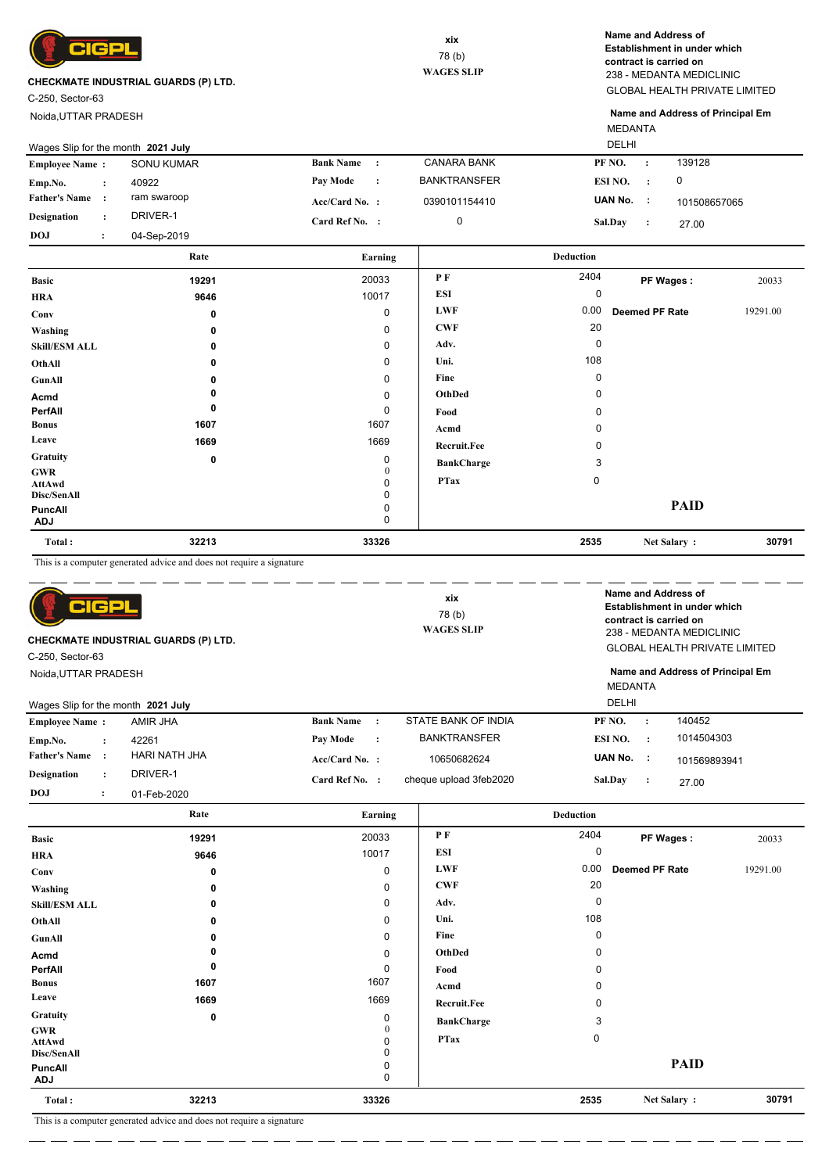

C-250, Sector-63

Noida,UTTAR PRADESH

GLOBAL HEALTH PRIVATE LIMITED 238 - MEDANTA MEDICLINIC **Name and Address of Establishment in under which contract is carried on**

MEDANTA **Name and Address of Principal Em**

|                       | Wages Slip for the month 2021 July |                   |                  |              |                     |                | <b>DELHI</b> |              |  |
|-----------------------|------------------------------------|-------------------|------------------|--------------|---------------------|----------------|--------------|--------------|--|
| <b>Employee Name:</b> |                                    | <b>SONU KUMAR</b> | <b>Bank Name</b> | $\mathbf{r}$ | <b>CANARA BANK</b>  | PF NO.         |              | 139128       |  |
| Emp.No.               |                                    | 40922             | Pay Mode         | $\cdot$ :    | <b>BANKTRANSFER</b> | ESI NO.        |              | 0            |  |
| <b>Father's Name</b>  |                                    | ram swaroop       | $Acc/Card No.$ : |              | 0390101154410       | UAN No.        | - 11         | 101508657065 |  |
| <b>Designation</b>    |                                    | DRIVER-1          | Card Ref No. :   |              |                     | <b>Sal.Day</b> |              | 27.00        |  |
| <b>DOJ</b>            |                                    | 04-Sep-2019       |                  |              |                     |                |              |              |  |

|                             | Rate  | Earning |                    | <b>Deduction</b> |                       |          |
|-----------------------------|-------|---------|--------------------|------------------|-----------------------|----------|
| <b>Basic</b>                | 19291 | 20033   | P F                | 2404             | PF Wages:             | 20033    |
| <b>HRA</b>                  | 9646  | 10017   | <b>ESI</b>         | 0                |                       |          |
| Conv                        | 0     | 0       | <b>LWF</b>         | 0.00             | <b>Deemed PF Rate</b> | 19291.00 |
| Washing                     | 0     | 0       | <b>CWF</b>         | 20               |                       |          |
| <b>Skill/ESM ALL</b>        | 0     | 0       | Adv.               | 0                |                       |          |
| OthAll                      | 0     | 0       | Uni.               | 108              |                       |          |
| GunAll                      | 0     | 0       | Fine               | 0                |                       |          |
| Acmd                        | 0     | 0       | OthDed             | 0                |                       |          |
| PerfAll                     | 0     | 0       | Food               | 0                |                       |          |
| <b>Bonus</b>                | 1607  | 1607    | Acmd               | 0                |                       |          |
| Leave                       | 1669  | 1669    | <b>Recruit.Fee</b> | 0                |                       |          |
| Gratuity                    | 0     | 0       | <b>BankCharge</b>  | 3                |                       |          |
| <b>GWR</b><br><b>AttAwd</b> |       | 0<br>0  | <b>PTax</b>        | $\mathbf 0$      |                       |          |
| Disc/SenAll                 |       | 0       |                    |                  |                       |          |
| PuncAll<br><b>ADJ</b>       |       | 0<br>0  |                    |                  | <b>PAID</b>           |          |
| Total:                      | 32213 | 33326   |                    | 2535             | Net Salary:           | 30791    |

This is a computer generated advice and does not require a signature

| C-250, Sector-63                   | ICP                  | <b>CHECKMATE INDUSTRIAL GUARDS (P) LTD.</b> |                  |           | xix<br>78 (b)<br><b>WAGES SLIP</b> |              |                | Name and Address of<br>Establishment in under which<br>contract is carried on<br>238 - MEDANTA MEDICLINIC<br><b>GLOBAL HEALTH PRIVATE LIMITED</b><br>Name and Address of Principal Em |
|------------------------------------|----------------------|---------------------------------------------|------------------|-----------|------------------------------------|--------------|----------------|---------------------------------------------------------------------------------------------------------------------------------------------------------------------------------------|
| Noida, UTTAR PRADESH               |                      |                                             |                  |           |                                    | MEDANTA      |                |                                                                                                                                                                                       |
|                                    |                      |                                             |                  |           |                                    |              |                |                                                                                                                                                                                       |
| Wages Slip for the month 2021 July |                      |                                             |                  |           |                                    | <b>DELHI</b> |                |                                                                                                                                                                                       |
| <b>Employee Name:</b>              |                      | AMIR JHA                                    | <b>Bank Name</b> | $\cdot$ : | STATE BANK OF INDIA                | PF NO.       | $\ddot{\cdot}$ | 140452                                                                                                                                                                                |
| Emp.No.                            | $\ddot{\phantom{a}}$ | 42261                                       | <b>Pay Mode</b>  | $\cdot$ : | <b>BANKTRANSFER</b>                | ESI NO.      | $\cdot$ :      | 1014504303                                                                                                                                                                            |
| <b>Father's Name</b>               |                      | HARI NATH JHA                               | $Acc/Card No.$ : |           | 10650682624                        | UAN No.      | $\sim$ 1       | 101569893941                                                                                                                                                                          |
| <b>Designation</b>                 | $\ddot{\phantom{a}}$ | DRIVER-1                                    | Card Ref No. :   |           | cheque upload 3feb2020             | Sal.Day      | $\ddot{\cdot}$ | 27.00                                                                                                                                                                                 |
| <b>DOJ</b>                         | $\cdot$              | 01-Feb-2020                                 |                  |           |                                    |              |                |                                                                                                                                                                                       |

|                              | Rate        | Earning      |                   | <b>Deduction</b> |                       |          |
|------------------------------|-------------|--------------|-------------------|------------------|-----------------------|----------|
| <b>Basic</b>                 | 19291       | 20033        | P F               | 2404             | PF Wages:             | 20033    |
| <b>HRA</b>                   | 9646        | 10017        | ESI               | 0                |                       |          |
| Conv                         | 0           | 0            | <b>LWF</b>        | 0.00             | <b>Deemed PF Rate</b> | 19291.00 |
| Washing                      | 0           | 0            | <b>CWF</b>        | 20               |                       |          |
| <b>Skill/ESM ALL</b>         | 0           | 0            | Adv.              | $\Omega$         |                       |          |
| OthAll                       | 0           | 0            | Uni.              | 108              |                       |          |
| GunAll                       | 0           | 0            | Fine              | $\mathbf 0$      |                       |          |
| Acmd                         | 0           | 0            | OthDed            | $\Omega$         |                       |          |
| PerfAll                      | 0           | 0            | Food              | 0                |                       |          |
| <b>Bonus</b>                 | 1607        | 1607         | Acmd              | 0                |                       |          |
| Leave                        | 1669        | 1669         | Recruit.Fee       | 0                |                       |          |
| Gratuity                     | $\mathbf 0$ | 0            | <b>BankCharge</b> | 3                |                       |          |
| <b>GWR</b>                   |             | $\mathbf{0}$ | <b>PTax</b>       | 0                |                       |          |
| <b>AttAwd</b><br>Disc/SenAll |             | 0            |                   |                  |                       |          |
| <b>PuncAll</b><br><b>ADJ</b> |             | 0<br>0       |                   |                  | <b>PAID</b>           |          |
| Total:                       | 32213       | 33326        |                   | 2535             | Net Salary:           | 30791    |

This is a computer generated advice and does not require a signature

 $=$   $-$ <u>.</u>

<u>. 2012 - 2012 - 2012 - 20</u>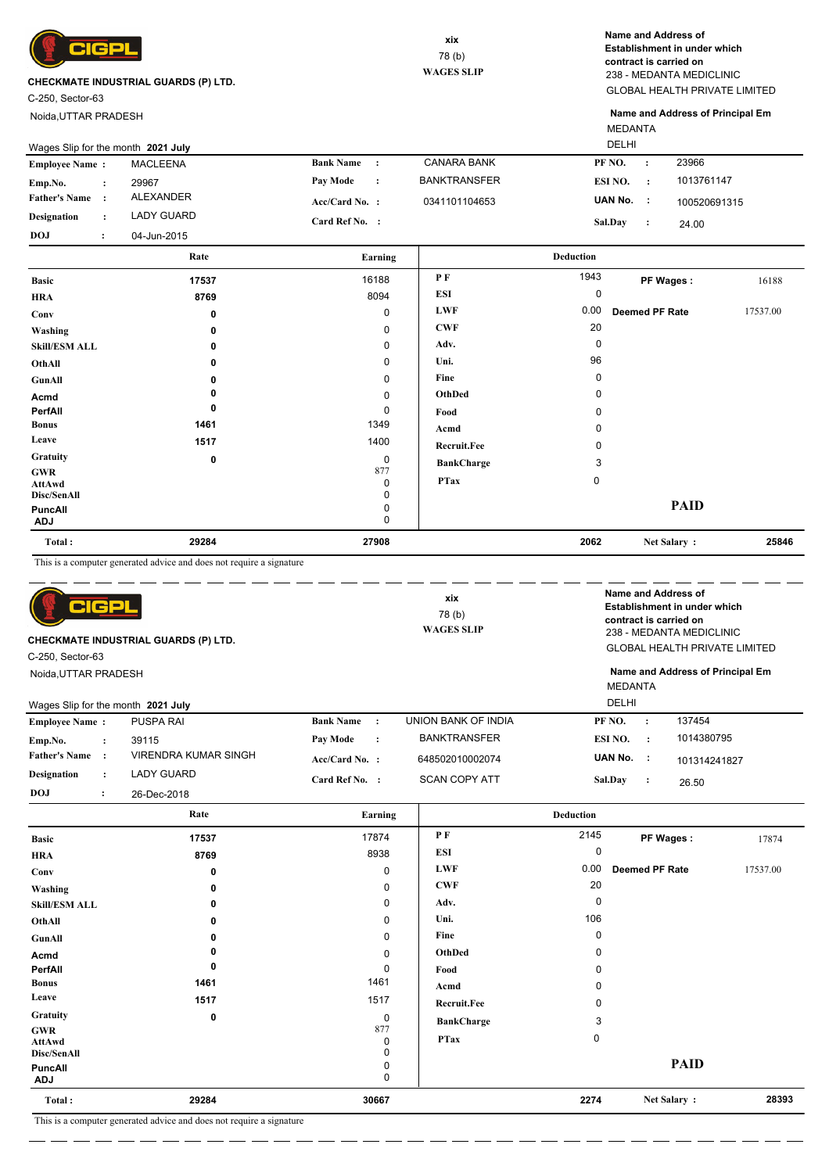

C-250, Sector-63

Noida,UTTAR PRADESH

GLOBAL HEALTH PRIVATE LIMITED 238 - MEDANTA MEDICLINIC **Name and Address of Establishment in under which contract is carried on**

MEDANTA **Name and Address of Principal Em**

| Wages Slip for the month 2021 July |  |             |                  |                | <b>DELHI</b>        |           |           |              |  |
|------------------------------------|--|-------------|------------------|----------------|---------------------|-----------|-----------|--------------|--|
| <b>Employee Name:</b>              |  | MACLEENA    | <b>Bank Name</b> | $\cdot$ :      | <b>CANARA BANK</b>  | PF NO.    |           | 23966        |  |
| Emp.No.                            |  | 29967       | Pay Mode         | $\ddot{\cdot}$ | <b>BANKTRANSFER</b> | ESI NO.   | $\cdot$ : | 1013761147   |  |
| <b>Father's Name</b>               |  | ALEXANDER   | $Acc/Card No.$ : |                | 0341101104653       | UAN No. : |           | 100520691315 |  |
| <b>Designation</b>                 |  | LADY GUARD  | Card Ref No. :   |                |                     | Sal.Day   |           | 24.00        |  |
| <b>DOJ</b>                         |  | 04-Jun-2015 |                  |                |                     |           |           |              |  |

|                                     | Rate  | Earning                 |                   | <b>Deduction</b> |                       |          |
|-------------------------------------|-------|-------------------------|-------------------|------------------|-----------------------|----------|
| <b>Basic</b>                        | 17537 | 16188                   | PF                | 1943             | PF Wages:             | 16188    |
| <b>HRA</b>                          | 8769  | 8094                    | ESI               | 0                |                       |          |
| Conv                                | 0     | 0                       | <b>LWF</b>        | 0.00             | <b>Deemed PF Rate</b> | 17537.00 |
| Washing                             | 0     | 0                       | <b>CWF</b>        | 20               |                       |          |
| <b>Skill/ESM ALL</b>                | 0     | 0                       | Adv.              | 0                |                       |          |
| OthAll                              | 0     | 0                       | Uni.              | 96               |                       |          |
| GunAll                              | 0     | 0                       | Fine              | 0                |                       |          |
| Acmd                                |       | $\mathbf 0$             | OthDed            | 0                |                       |          |
| PerfAll                             | 0     | 0                       | Food              | 0                |                       |          |
| <b>Bonus</b>                        | 1461  | 1349                    | Acmd              | 0                |                       |          |
| Leave                               | 1517  | 1400                    | Recruit.Fee       | 0                |                       |          |
| <b>Gratuity</b>                     | 0     | 0                       | <b>BankCharge</b> | 3                |                       |          |
| <b>GWR</b><br>AttAwd<br>Disc/SenAll |       | 877<br>0<br>$\mathbf 0$ | <b>PTax</b>       | 0                |                       |          |
| <b>PuncAll</b><br><b>ADJ</b>        |       | 0<br>0                  |                   |                  | <b>PAID</b>           |          |
| Total:                              | 29284 | 27908                   |                   | 2062             | Net Salary:           | 25846    |

This is a computer generated advice and does not require a signature

| C-250, Sector-63                   | elce                 | <b>CHECKMATE INDUSTRIAL GUARDS (P) LTD.</b> |                  |           | xix<br>78 (b)<br><b>WAGES SLIP</b> | Name and Address of<br>contract is carried on |           | Establishment in under which<br>238 - MEDANTA MEDICLINIC<br><b>GLOBAL HEALTH PRIVATE LIMITED</b> |
|------------------------------------|----------------------|---------------------------------------------|------------------|-----------|------------------------------------|-----------------------------------------------|-----------|--------------------------------------------------------------------------------------------------|
| Noida, UTTAR PRADESH               |                      |                                             |                  |           |                                    | MEDANTA<br><b>DELHI</b>                       |           | Name and Address of Principal Em                                                                 |
| Wages Slip for the month 2021 July |                      |                                             | <b>Bank Name</b> | $\cdot$ : | UNION BANK OF INDIA                | PF NO.                                        |           | 137454                                                                                           |
| <b>Employee Name:</b>              |                      | <b>PUSPA RAI</b>                            |                  |           |                                    |                                               | $\cdot$   |                                                                                                  |
| Emp.No.                            | $\ddot{\phantom{a}}$ | 39115                                       | <b>Pay Mode</b>  | $\cdot$   | <b>BANKTRANSFER</b>                | ESI NO.                                       | $\cdot$ : | 1014380795                                                                                       |
| <b>Father's Name</b>               |                      | VIRENDRA KUMAR SINGH                        | Acc/Card No. :   |           | 648502010002074                    | UAN No.                                       | - 11      | 101314241827                                                                                     |
| <b>Designation</b>                 | $\ddot{\phantom{a}}$ | LADY GUARD                                  | Card Ref No. :   |           | <b>SCAN COPY ATT</b>               | <b>Sal.Day</b>                                | $\cdot$ : | 26.50                                                                                            |
| <b>DOJ</b>                         | $\ddot{\cdot}$       | 26-Dec-2018                                 |                  |           |                                    |                                               |           |                                                                                                  |

|                                            | Rate  | Earning       |                   | <b>Deduction</b> |                       |          |
|--------------------------------------------|-------|---------------|-------------------|------------------|-----------------------|----------|
| <b>Basic</b>                               | 17537 | 17874         | P F               | 2145             | PF Wages:             | 17874    |
| <b>HRA</b>                                 | 8769  | 8938          | ESI               | 0                |                       |          |
| Conv                                       | 0     | 0             | <b>LWF</b>        | 0.00             | <b>Deemed PF Rate</b> | 17537.00 |
| Washing                                    | 0     | 0             | <b>CWF</b>        | 20               |                       |          |
| <b>Skill/ESM ALL</b>                       | 0     | $\mathbf 0$   | Adv.              | 0                |                       |          |
| OthAll                                     | 0     | $\mathbf 0$   | Uni.              | 106              |                       |          |
| GunAll                                     | 0     | $\mathbf 0$   | Fine              | 0                |                       |          |
| Acmd                                       |       | $\mathbf 0$   | OthDed            | 0                |                       |          |
| PerfAll                                    | 0     | 0             | Food              | 0                |                       |          |
| <b>Bonus</b>                               | 1461  | 1461          | Acmd              | $\Omega$         |                       |          |
| Leave                                      | 1517  | 1517          | Recruit.Fee       | 0                |                       |          |
| Gratuity                                   | 0     | $\mathbf 0$   | <b>BankCharge</b> | 3                |                       |          |
| <b>GWR</b><br><b>AttAwd</b><br>Disc/SenAll |       | 877<br>0<br>0 | <b>PTax</b>       | $\mathbf 0$      |                       |          |
| <b>PuncAll</b><br><b>ADJ</b>               |       | 0<br>0        |                   |                  | <b>PAID</b>           |          |
| Total:                                     | 29284 | 30667         |                   | 2274             | Net Salary:           | 28393    |

This is a computer generated advice and does not require a signature

<u>. . .</u>

 $\overline{\phantom{a}}$ L.

\_ \_\_ \_\_ \_\_ \_

 $=$   $=$  $=$   $-$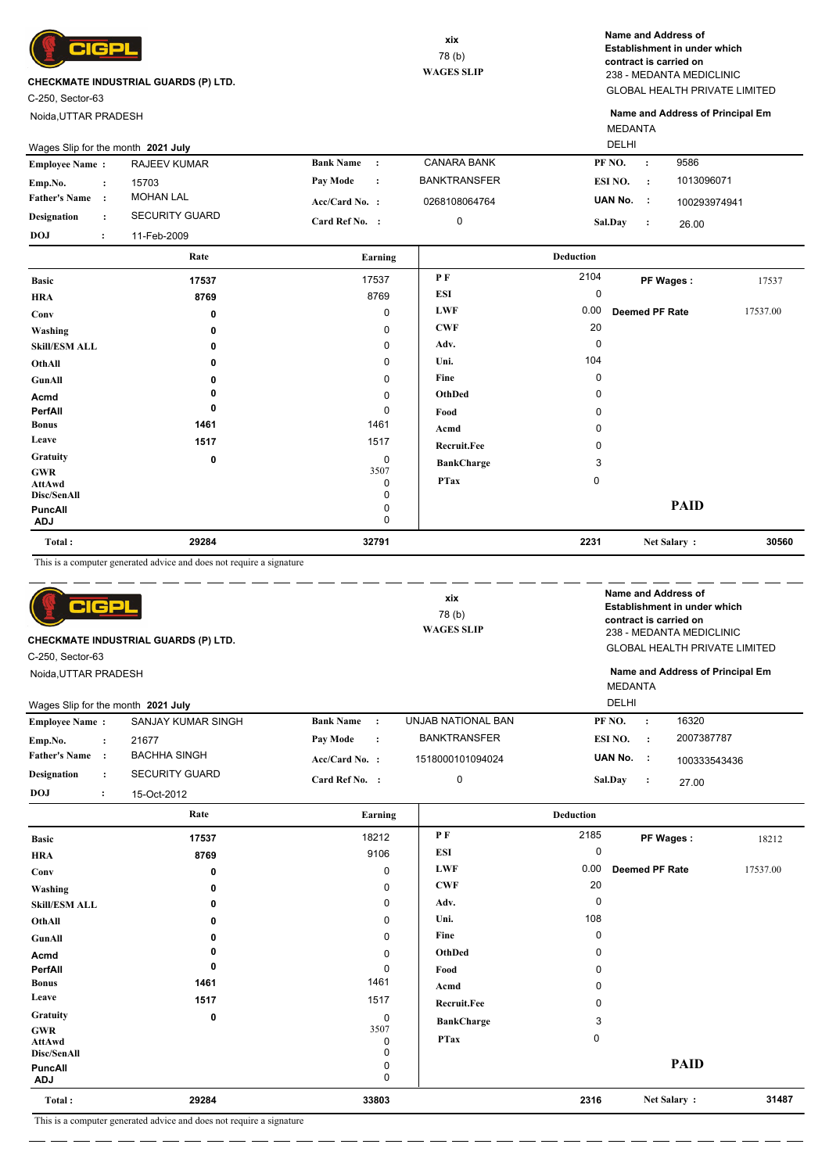

C-250, Sector-63

Noida,UTTAR PRADESH

GLOBAL HEALTH PRIVATE LIMITED 238 - MEDANTA MEDICLINIC **Name and Address of Establishment in under which contract is carried on**

MEDANTA **Name and Address of Principal Em**

| Wages Slip for the month 2021 July |  |                       |                  | <b>DELHI</b>   |                     |                |     |              |
|------------------------------------|--|-----------------------|------------------|----------------|---------------------|----------------|-----|--------------|
| <b>Employee Name:</b>              |  | RAJEEV KUMAR          | <b>Bank Name</b> |                | <b>CANARA BANK</b>  | PF NO.         |     | 9586         |
| Emp.No.                            |  | 15703                 | Pav Mode         | $\ddot{\cdot}$ | <b>BANKTRANSFER</b> | ESI NO.        |     | 1013096071   |
| <b>Father's Name</b>               |  | <b>MOHAN LAL</b>      | $Acc/Card No.$ : |                | 0268108064764       | UAN No.        | - 1 | 100293974941 |
| Designation                        |  | <b>SECURITY GUARD</b> | Card Ref No. :   |                | 0                   | <b>Sal.Day</b> |     | 26.00        |
| <b>DOJ</b>                         |  | 11-Feb-2009           |                  |                |                     |                |     |              |

|                              | Rate  | Earning     |                    | <b>Deduction</b> |                |          |
|------------------------------|-------|-------------|--------------------|------------------|----------------|----------|
| <b>Basic</b>                 | 17537 | 17537       | PF                 | 2104             | PF Wages:      | 17537    |
| <b>HRA</b>                   | 8769  | 8769        | ESI                | 0                |                |          |
| Conv                         | 0     | $\mathbf 0$ | <b>LWF</b>         | 0.00             | Deemed PF Rate | 17537.00 |
| Washing                      | 0     | 0           | <b>CWF</b>         | 20               |                |          |
| <b>Skill/ESM ALL</b>         | 0     | 0           | Adv.               | 0                |                |          |
| OthAll                       | 0     | 0           | Uni.               | 104              |                |          |
| GunAll                       |       | 0           | Fine               | 0                |                |          |
| Acmd                         |       | 0           | OthDed             | 0                |                |          |
| PerfAll                      | 0     | 0           | Food               | 0                |                |          |
| <b>Bonus</b>                 | 1461  | 1461        | Acmd               | 0                |                |          |
| Leave                        | 1517  | 1517        | <b>Recruit.Fee</b> | 0                |                |          |
| Gratuity                     | 0     | 0           | <b>BankCharge</b>  | 3                |                |          |
| <b>GWR</b><br>AttAwd         |       | 3507<br>0   | <b>PTax</b>        | $\mathbf 0$      |                |          |
| Disc/SenAll                  |       | 0           |                    |                  |                |          |
| <b>PuncAll</b><br><b>ADJ</b> |       | 0<br>0      |                    |                  | <b>PAID</b>    |          |
| Total:                       | 29284 | 32791       |                    | 2231             | Net Salary:    | 30560    |

This is a computer generated advice and does not require a signature

| CIGPL<br>CHECKMATE INDUSTRIAL GUARDS (P) LTD.<br>C-250, Sector-63                                                                                |                                                                      |                                                                | xix<br>78(b)<br><b>WAGES SLIP</b>            |                               | Name and Address of<br><b>Establishment in under which</b><br>contract is carried on<br>238 - MEDANTA MEDICLINIC<br><b>GLOBAL HEALTH PRIVATE LIMITED</b> |          |  |  |  |
|--------------------------------------------------------------------------------------------------------------------------------------------------|----------------------------------------------------------------------|----------------------------------------------------------------|----------------------------------------------|-------------------------------|----------------------------------------------------------------------------------------------------------------------------------------------------------|----------|--|--|--|
| Noida, UTTAR PRADESH<br>Wages Slip for the month 2021 July                                                                                       |                                                                      |                                                                |                                              |                               | Name and Address of Principal Em<br><b>MEDANTA</b><br>DELHI                                                                                              |          |  |  |  |
| <b>Employee Name:</b>                                                                                                                            | SANJAY KUMAR SINGH                                                   | <b>Bank Name</b><br>$\cdot$ :                                  | UNJAB NATIONAL BAN                           | PF NO.                        | 16320<br>$\ddot{\cdot}$                                                                                                                                  |          |  |  |  |
| Emp.No.<br>$\ddot{\cdot}$<br><b>Father's Name</b><br>$\cdot$<br><b>Designation</b><br>$\ddot{\phantom{a}}$<br><b>DOJ</b><br>$\ddot{\phantom{a}}$ | 21677<br><b>BACHHA SINGH</b><br><b>SECURITY GUARD</b><br>15-Oct-2012 | Pay Mode<br>$\ddot{\cdot}$<br>Acc/Card No. :<br>Card Ref No. : | <b>BANKTRANSFER</b><br>1518000101094024<br>0 | ESI NO.<br>UAN No.<br>Sal.Day | 2007387787<br>$\cdot$ :<br>- 1<br>100333543436<br>$\cdot$<br>27.00                                                                                       |          |  |  |  |
|                                                                                                                                                  | Rate                                                                 | Earning                                                        |                                              | <b>Deduction</b>              |                                                                                                                                                          |          |  |  |  |
| <b>Basic</b><br><b>HRA</b>                                                                                                                       | 17537<br>8769                                                        | 18212<br>9106                                                  | P F<br><b>ESI</b>                            | 2185<br>$\mathbf 0$           | PF Wages:                                                                                                                                                | 18212    |  |  |  |
| Conv<br>Washing                                                                                                                                  | 0                                                                    | 0<br>0                                                         | <b>LWF</b><br><b>CWF</b>                     | 0.00<br>20                    | <b>Deemed PF Rate</b>                                                                                                                                    | 17537.00 |  |  |  |
| <b>Skill/ESM ALL</b><br>$\Omega_{\rm th}$ All                                                                                                    | 0<br>n                                                               | 0<br>$\Omega$                                                  | Adv.<br>Uni.                                 | $\Omega$<br>108               |                                                                                                                                                          |          |  |  |  |

| Total:         | 29284 | 33803       |                   | 2316 | Net Salary: | 31487 |
|----------------|-------|-------------|-------------------|------|-------------|-------|
| <b>ADJ</b>     |       | 0           |                   |      |             |       |
| <b>PuncAll</b> |       | 0           |                   |      | <b>PAID</b> |       |
| Disc/SenAll    |       | 0           |                   |      |             |       |
| AttAwd         |       | 0           | <b>PTax</b>       | 0    |             |       |
| <b>GWR</b>     |       | 3507        |                   |      |             |       |
| Gratuity       | 0     | 0           | <b>BankCharge</b> | 3    |             |       |
| Leave          | 1517  | 1517        | Recruit.Fee       | 0    |             |       |
| <b>Bonus</b>   | 1461  | 1461        | Acmd              | 0    |             |       |
| PerfAll        |       | 0           | Food              | 0    |             |       |
|                | 0     |             |                   |      |             |       |
| Acmd           | 0     | $\mathbf 0$ | OthDed            | 0    |             |       |
| GunAll         | 0     | 0           | Fine              | 0    |             |       |
| OthAll         | 0     | 0           | Uni.              | 108  |             |       |
| Skill/ESM ALL  | 0     | υ           | Auv.              | ◡    |             |       |

This is a computer generated advice and does not require a signature  $\overline{\phantom{a}}$ 

 $\overline{a}$ ш.,

 $\overline{\phantom{a}}$  and  $\overline{\phantom{a}}$  and  $\overline{\phantom{a}}$ 

 $=$   $-$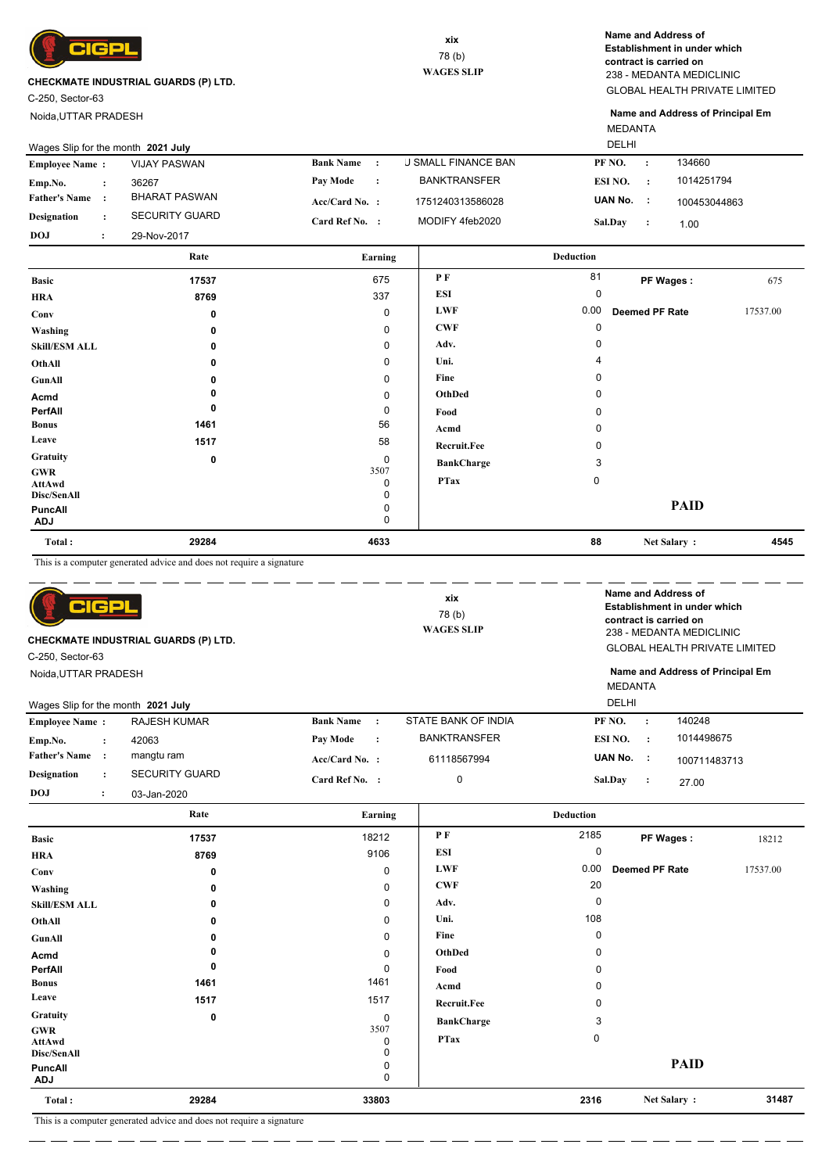

C-250, Sector-63

Noida,UTTAR PRADESH

GLOBAL HEALTH PRIVATE LIMITED 238 - MEDANTA MEDICLINIC **Name and Address of Establishment in under which contract is carried on**

MEDANTA **Name and Address of Principal Em**

|                                                                                                         | Wages Slip for the month 2021 July                                   |                                  |                            | DELHI              |                                         |          |
|---------------------------------------------------------------------------------------------------------|----------------------------------------------------------------------|----------------------------------|----------------------------|--------------------|-----------------------------------------|----------|
| <b>Employee Name:</b>                                                                                   | <b>VIJAY PASWAN</b>                                                  | <b>Bank Name</b><br>$\cdot$ :    | <b>J SMALL FINANCE BAN</b> | PF <sub>NO</sub> . | 134660<br>$\ddot{\cdot}$                |          |
| Emp.No.<br>$\ddot{\cdot}$                                                                               | 36267                                                                | Pay Mode<br>$\ddot{\cdot}$       | <b>BANKTRANSFER</b>        | ESI NO.            | 1014251794<br>$\cdot$ :                 |          |
| <b>Father's Name:</b>                                                                                   | <b>BHARAT PASWAN</b>                                                 | Acc/Card No. :                   | 1751240313586028           | UAN No.            | - 1<br>100453044863                     |          |
| <b>Designation</b><br>$\ddot{\cdot}$                                                                    | <b>SECURITY GUARD</b>                                                | Card Ref No. :                   | MODIFY 4feb2020            | Sal.Day            | $\cdot$<br>1.00                         |          |
| <b>DOJ</b><br>$\ddot{\phantom{a}}$                                                                      | 29-Nov-2017                                                          |                                  |                            |                    |                                         |          |
|                                                                                                         | Rate                                                                 | Earning                          |                            | <b>Deduction</b>   |                                         |          |
| <b>Basic</b>                                                                                            | 17537                                                                | 675                              | PF                         | 81                 | PF Wages:                               | 675      |
| <b>HRA</b>                                                                                              | 8769                                                                 | 337                              | <b>ESI</b>                 | $\mathbf 0$        |                                         |          |
| Conv                                                                                                    | 0                                                                    | $\mathbf 0$                      | <b>LWF</b>                 | 0.00               | <b>Deemed PF Rate</b>                   | 17537.00 |
| Washing                                                                                                 | 0                                                                    | $\pmb{0}$                        | <b>CWF</b>                 | $\mathbf 0$        |                                         |          |
| <b>Skill/ESM ALL</b>                                                                                    | 0                                                                    | $\mathbf 0$                      | Adv.                       | 0                  |                                         |          |
| OthAll                                                                                                  | 0                                                                    | $\mathbf 0$                      | Uni.                       | 4                  |                                         |          |
| GunAll                                                                                                  | 0                                                                    | $\Omega$                         | Fine                       | 0                  |                                         |          |
| Acmd                                                                                                    | 0                                                                    | $\mathbf 0$                      | <b>OthDed</b>              | 0                  |                                         |          |
| PerfAll                                                                                                 | 0                                                                    | $\pmb{0}$                        | Food                       | 0                  |                                         |          |
| <b>Bonus</b>                                                                                            | 1461                                                                 | 56                               | Acmd                       | 0                  |                                         |          |
| Leave                                                                                                   | 1517                                                                 | 58                               | Recruit.Fee                | 0                  |                                         |          |
| Gratuity                                                                                                | 0                                                                    | $\mathbf 0$                      | <b>BankCharge</b>          | 3                  |                                         |          |
| <b>GWR</b>                                                                                              |                                                                      | 3507<br>$\mathbf 0$              | <b>PTax</b>                | 0                  |                                         |          |
| <b>AttAwd</b><br>Disc/SenAll                                                                            |                                                                      | 0                                |                            |                    |                                         |          |
| <b>PuncAll</b>                                                                                          |                                                                      | $\mathbf 0$                      |                            |                    | <b>PAID</b>                             |          |
| <b>ADJ</b>                                                                                              |                                                                      | $\Omega$                         |                            |                    |                                         |          |
|                                                                                                         |                                                                      |                                  |                            |                    |                                         | 4545     |
| Total:                                                                                                  | 29284                                                                | 4633                             |                            | 88                 | Net Salary:                             |          |
|                                                                                                         | This is a computer generated advice and does not require a signature |                                  |                            |                    |                                         |          |
|                                                                                                         |                                                                      |                                  |                            |                    | Name and Address of                     |          |
| lc                                                                                                      |                                                                      |                                  | xix                        |                    | Establishment in under which            |          |
|                                                                                                         |                                                                      |                                  | 78 (b)                     |                    | contract is carried on                  |          |
|                                                                                                         | CHECKMATE INDUSTRIAL GUARDS (P) LTD.                                 |                                  | <b>WAGES SLIP</b>          |                    | 238 - MEDANTA MEDICLINIC                |          |
|                                                                                                         |                                                                      |                                  |                            |                    | <b>GLOBAL HEALTH PRIVATE LIMITED</b>    |          |
| C-250, Sector-63<br>Noida, UTTAR PRADESH                                                                |                                                                      |                                  |                            |                    | Name and Address of Principal Em        |          |
|                                                                                                         |                                                                      |                                  |                            | <b>MEDANTA</b>     |                                         |          |
|                                                                                                         | Wages Slip for the month 2021 July                                   |                                  |                            | DELHI              |                                         |          |
|                                                                                                         | <b>RAJESH KUMAR</b>                                                  | <b>Bank Name</b><br>$\cdot$      | STATE BANK OF INDIA        | PF NO.             | 140248<br>$\ddot{\cdot}$                |          |
| $\cdot$                                                                                                 | 42063                                                                | Pay Mode<br>$\ddot{\phantom{a}}$ | <b>BANKTRANSFER</b>        | ESI NO.            | 1014498675<br>$\cdot$                   |          |
|                                                                                                         | mangtu ram                                                           | Acc/Card No. :                   | 61118567994                | UAN No.            | - 1                                     |          |
| <b>Employee Name:</b><br>Emp.No.<br><b>Father's Name:</b><br><b>Designation</b><br>$\ddot{\phantom{a}}$ | <b>SECURITY GUARD</b>                                                | Card Ref No. :                   | 0                          | Sal.Day            | 100711483713<br>$\ddot{\cdot}$<br>27.00 |          |

|                       | Rate  | Earning     |                   | <b>Deduction</b> |                |          |
|-----------------------|-------|-------------|-------------------|------------------|----------------|----------|
| <b>Basic</b>          | 17537 | 18212       | P F               | 2185             | PF Wages:      | 18212    |
| <b>HRA</b>            | 8769  | 9106        | <b>ESI</b>        | 0                |                |          |
| Conv                  | 0     | $\pmb{0}$   | <b>LWF</b>        | 0.00             | Deemed PF Rate | 17537.00 |
| Washing               | 0     | $\pmb{0}$   | <b>CWF</b>        | 20               |                |          |
| <b>Skill/ESM ALL</b>  | 0     | 0           | Adv.              | $\mathbf 0$      |                |          |
| OthAll                | 0     | 0           | Uni.              | 108              |                |          |
| GunAll                | 0     | 0           | Fine              | 0                |                |          |
| Acmd                  | 0     | 0           | OthDed            | $\mathbf 0$      |                |          |
| PerfAll               | 0     | 0           | Food              | $\mathbf 0$      |                |          |
| <b>Bonus</b>          | 1461  | 1461        | Acmd              | 0                |                |          |
| Leave                 | 1517  | 1517        | Recruit.Fee       | $\mathbf 0$      |                |          |
| Gratuity              | 0     | $\mathbf 0$ | <b>BankCharge</b> | 3                |                |          |
| GWR                   |       | 3507        | <b>PTax</b>       | 0                |                |          |
| AttAwd<br>Disc/SenAll |       | 0<br>0      |                   |                  |                |          |
| <b>PuncAll</b>        |       | 0           |                   |                  | <b>PAID</b>    |          |
| ADJ                   |       | $\mathbf 0$ |                   |                  |                |          |
| Total:                | 29284 | 33803       |                   | 2316             | Net Salary:    | 31487    |

 $\overline{\phantom{a}}$ 

 $\overline{\phantom{a}}$ 

This is a computer generated advice and does not require a signature <u>. . . . . . . . . . . . . . .</u>